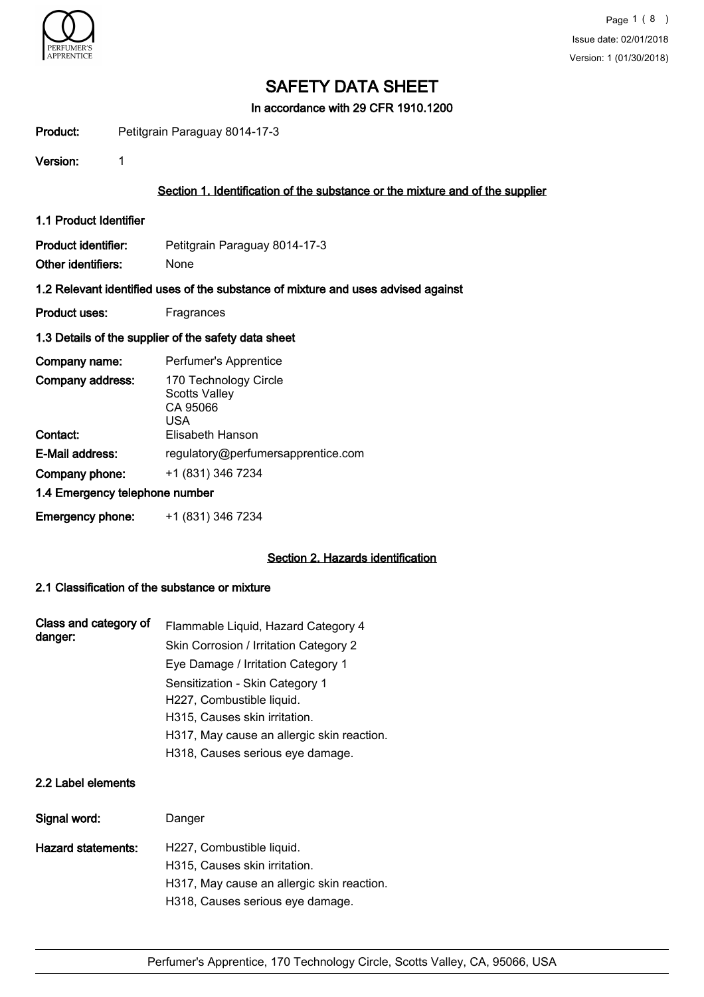

In accordance with 29 CFR 1910.1200

Product: Petitgrain Paraguay 8014-17-3

Version: 1

## Section 1. Identification of the substance or the mixture and of the supplier

1.1 Product Identifier

Product identifier: Petitgrain Paraguay 8014-17-3 Other identifiers: None

#### 1.2 Relevant identified uses of the substance of mixture and uses advised against

Product uses: Fragrances

#### 1.3 Details of the supplier of the safety data sheet

| Company name:                  | Perfumer's Apprentice                                            |
|--------------------------------|------------------------------------------------------------------|
| Company address:               | 170 Technology Circle<br><b>Scotts Valley</b><br>CA 95066<br>USA |
| Contact:                       | Elisabeth Hanson                                                 |
| E-Mail address:                | regulatory@perfumersapprentice.com                               |
| Company phone:                 | +1 (831) 346 7234                                                |
| 1.4 Emergency telephone number |                                                                  |
| <b>Emergency phone:</b>        | +1 (831) 346 7234                                                |

### Section 2. Hazards identification

## 2.1 Classification of the substance or mixture

| Class and category of<br>danger: | Flammable Liquid, Hazard Category 4        |
|----------------------------------|--------------------------------------------|
|                                  | Skin Corrosion / Irritation Category 2     |
|                                  | Eye Damage / Irritation Category 1         |
|                                  | Sensitization - Skin Category 1            |
|                                  | H227, Combustible liquid.                  |
|                                  | H315, Causes skin irritation.              |
|                                  | H317, May cause an allergic skin reaction. |
|                                  | H318, Causes serious eye damage.           |

## 2.2 Label elements

| Signal word:       | Danger                                                     |
|--------------------|------------------------------------------------------------|
| Hazard statements: | H227, Combustible liquid.<br>H315, Causes skin irritation. |
|                    | H317, May cause an allergic skin reaction.                 |
|                    | H318, Causes serious eye damage.                           |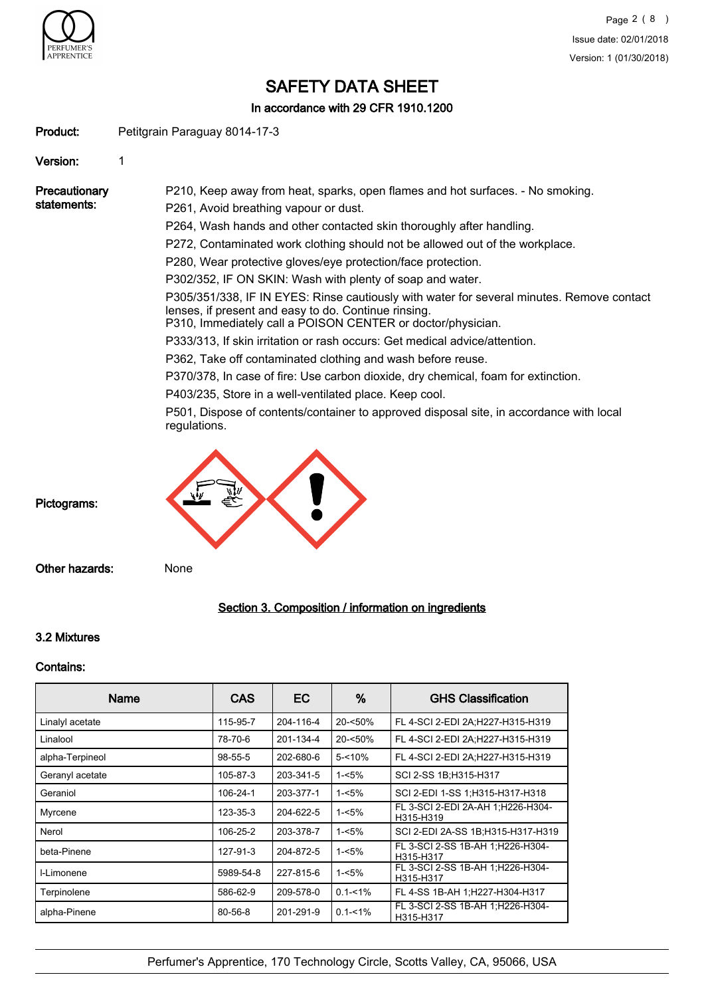

In accordance with 29 CFR 1910.1200

Product: Petitgrain Paraguay 8014-17-3

Version: 1

**Precautionary** statements: P210, Keep away from heat, sparks, open flames and hot surfaces. - No smoking. P261, Avoid breathing vapour or dust. P264, Wash hands and other contacted skin thoroughly after handling. P272, Contaminated work clothing should not be allowed out of the workplace. P280, Wear protective gloves/eye protection/face protection. P302/352, IF ON SKIN: Wash with plenty of soap and water. P305/351/338, IF IN EYES: Rinse cautiously with water for several minutes. Remove contact lenses, if present and easy to do. Continue rinsing. P310, Immediately call a POISON CENTER or doctor/physician. P333/313, If skin irritation or rash occurs: Get medical advice/attention. P362, Take off contaminated clothing and wash before reuse. P370/378, In case of fire: Use carbon dioxide, dry chemical, foam for extinction. P403/235, Store in a well-ventilated place. Keep cool. P501, Dispose of contents/container to approved disposal site, in accordance with local regulations. Pictograms:

Other hazards: None

# Section 3. Composition / information on ingredients

## 3.2 Mixtures

#### Contains:

| Name            | <b>CAS</b> | EC        | %           | <b>GHS Classification</b>                      |
|-----------------|------------|-----------|-------------|------------------------------------------------|
| Linalyl acetate | 115-95-7   | 204-116-4 | $20 - 50%$  | FL 4-SCI 2-EDI 2A;H227-H315-H319               |
| Linalool        | 78-70-6    | 201-134-4 | $20 - 50\%$ | FL 4-SCI 2-EDI 2A;H227-H315-H319               |
| alpha-Terpineol | 98-55-5    | 202-680-6 | $5 - 10%$   | FL 4-SCI 2-EDI 2A;H227-H315-H319               |
| Geranyl acetate | 105-87-3   | 203-341-5 | 1-<5%       | SCI 2-SS 1B; H315-H317                         |
| Geraniol        | 106-24-1   | 203-377-1 | $1 - 5%$    | SCI 2-EDI 1-SS 1:H315-H317-H318                |
| Myrcene         | 123-35-3   | 204-622-5 | $1 - 5%$    | FL 3-SCI 2-EDI 2A-AH 1;H226-H304-<br>H315-H319 |
| Nerol           | 106-25-2   | 203-378-7 | $1 - 5%$    | SCI 2-EDI 2A-SS 1B:H315-H317-H319              |
| beta-Pinene     | 127-91-3   | 204-872-5 | $1 - 5%$    | FL 3-SCI 2-SS 1B-AH 1;H226-H304-<br>H315-H317  |
| I-Limonene      | 5989-54-8  | 227-815-6 | $1 - 5%$    | FL 3-SCI 2-SS 1B-AH 1:H226-H304-<br>H315-H317  |
| Terpinolene     | 586-62-9   | 209-578-0 | $0.1 - 1\%$ | FL 4-SS 1B-AH 1:H227-H304-H317                 |
| alpha-Pinene    | 80-56-8    | 201-291-9 | $0.1 - 1\%$ | FL 3-SCI 2-SS 1B-AH 1;H226-H304-<br>H315-H317  |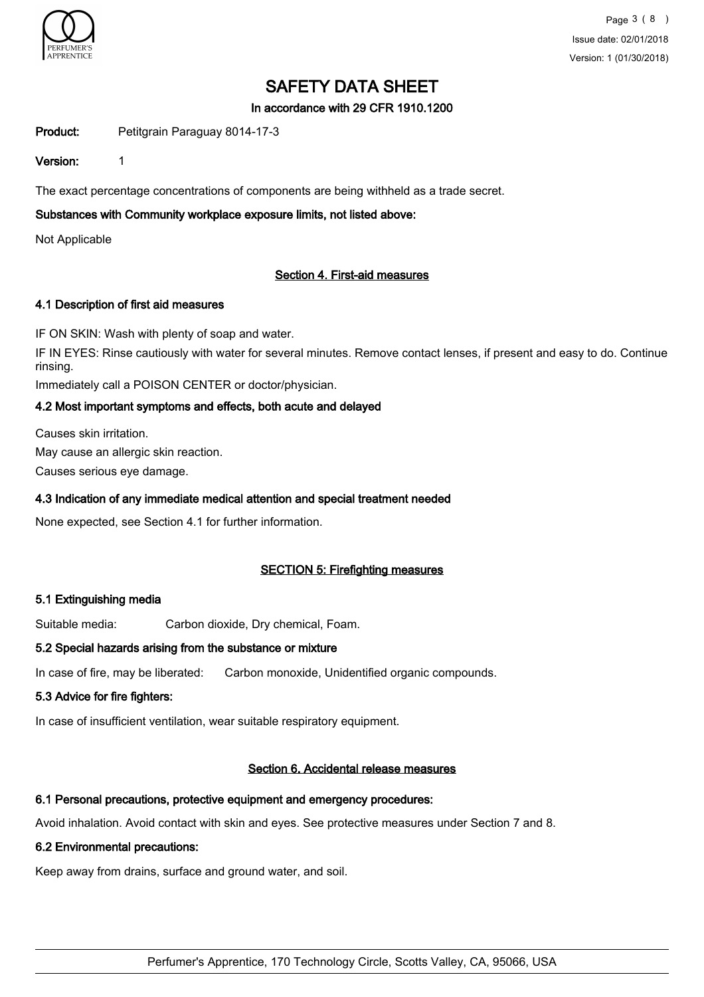

## In accordance with 29 CFR 1910.1200

Product: Petitgrain Paraguay 8014-17-3

### Version: 1

The exact percentage concentrations of components are being withheld as a trade secret.

# Substances with Community workplace exposure limits, not listed above:

Not Applicable

## Section 4. First-aid measures

## 4.1 Description of first aid measures

IF ON SKIN: Wash with plenty of soap and water.

IF IN EYES: Rinse cautiously with water for several minutes. Remove contact lenses, if present and easy to do. Continue rinsing.

Immediately call a POISON CENTER or doctor/physician.

# 4.2 Most important symptoms and effects, both acute and delayed

Causes skin irritation. May cause an allergic skin reaction. Causes serious eye damage.

# 4.3 Indication of any immediate medical attention and special treatment needed

None expected, see Section 4.1 for further information.

# SECTION 5: Firefighting measures

#### 5.1 Extinguishing media

Suitable media: Carbon dioxide, Dry chemical, Foam.

#### 5.2 Special hazards arising from the substance or mixture

In case of fire, may be liberated: Carbon monoxide, Unidentified organic compounds.

#### 5.3 Advice for fire fighters:

In case of insufficient ventilation, wear suitable respiratory equipment.

#### Section 6. Accidental release measures

#### 6.1 Personal precautions, protective equipment and emergency procedures:

Avoid inhalation. Avoid contact with skin and eyes. See protective measures under Section 7 and 8.

#### 6.2 Environmental precautions:

Keep away from drains, surface and ground water, and soil.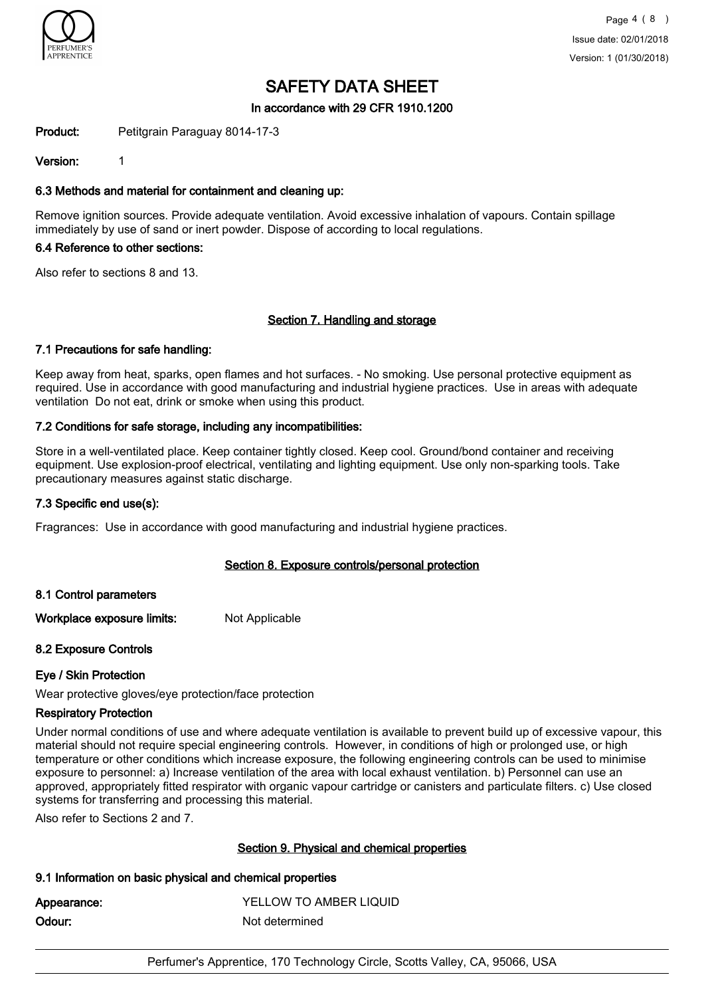

### In accordance with 29 CFR 1910.1200

Product: Petitgrain Paraguay 8014-17-3

Version: 1

## 6.3 Methods and material for containment and cleaning up:

Remove ignition sources. Provide adequate ventilation. Avoid excessive inhalation of vapours. Contain spillage immediately by use of sand or inert powder. Dispose of according to local regulations.

#### 6.4 Reference to other sections:

Also refer to sections 8 and 13.

## Section 7. Handling and storage

#### 7.1 Precautions for safe handling:

Keep away from heat, sparks, open flames and hot surfaces. - No smoking. Use personal protective equipment as required. Use in accordance with good manufacturing and industrial hygiene practices. Use in areas with adequate ventilation Do not eat, drink or smoke when using this product.

## 7.2 Conditions for safe storage, including any incompatibilities:

Store in a well-ventilated place. Keep container tightly closed. Keep cool. Ground/bond container and receiving equipment. Use explosion-proof electrical, ventilating and lighting equipment. Use only non-sparking tools. Take precautionary measures against static discharge.

#### 7.3 Specific end use(s):

Fragrances: Use in accordance with good manufacturing and industrial hygiene practices.

#### Section 8. Exposure controls/personal protection

#### 8.1 Control parameters

Workplace exposure limits: Not Applicable

#### 8.2 Exposure Controls

#### Eye / Skin Protection

Wear protective gloves/eye protection/face protection

#### Respiratory Protection

Under normal conditions of use and where adequate ventilation is available to prevent build up of excessive vapour, this material should not require special engineering controls. However, in conditions of high or prolonged use, or high temperature or other conditions which increase exposure, the following engineering controls can be used to minimise exposure to personnel: a) Increase ventilation of the area with local exhaust ventilation. b) Personnel can use an approved, appropriately fitted respirator with organic vapour cartridge or canisters and particulate filters. c) Use closed systems for transferring and processing this material.

Also refer to Sections 2 and 7.

#### Section 9. Physical and chemical properties

#### 9.1 Information on basic physical and chemical properties

| Appearance: | YELLOW TO AMBER LIQUID |
|-------------|------------------------|
| Odour:      | Not determined         |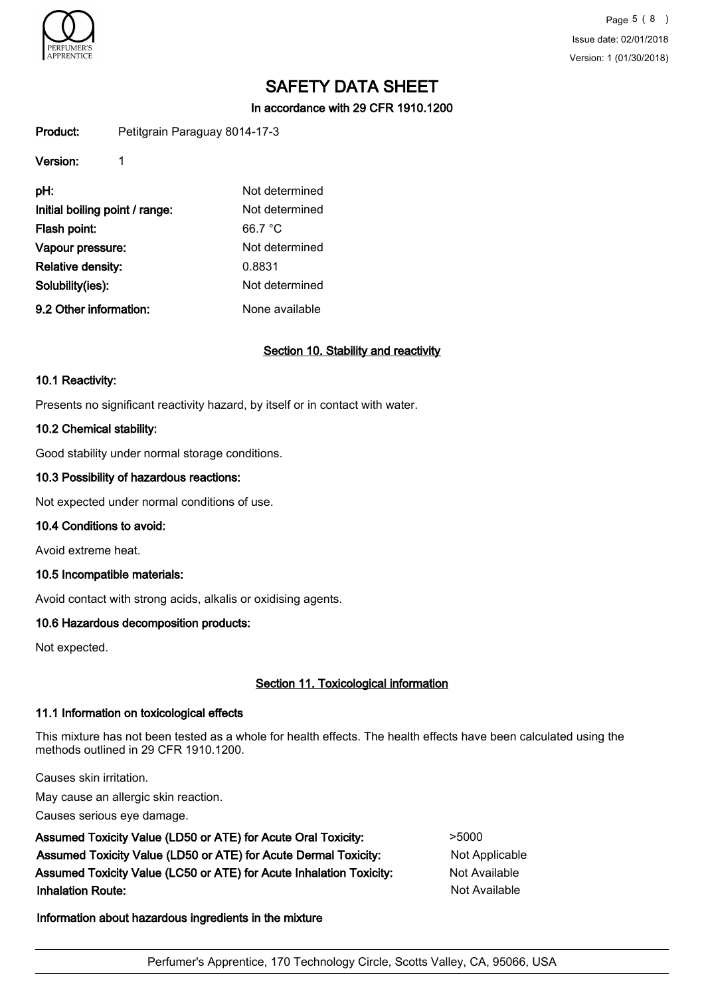

Page 5 ( 8 ) Issue date: 02/01/2018 Version: 1 (01/30/2018)

# SAFETY DATA SHEET

In accordance with 29 CFR 1910.1200

Product: Petitgrain Paraguay 8014-17-3

| Version:                       |                |
|--------------------------------|----------------|
| pH:                            | Not determined |
| Initial boiling point / range: | Not determined |
| Flash point:                   | 66.7 °C        |
| Vapour pressure:               | Not determined |
| Relative density:              | 0.8831         |
| Solubility(ies):               | Not determined |
| 9.2 Other information:         | None available |

## Section 10. Stability and reactivity

#### 10.1 Reactivity:

Presents no significant reactivity hazard, by itself or in contact with water.

#### 10.2 Chemical stability:

Good stability under normal storage conditions.

#### 10.3 Possibility of hazardous reactions:

Not expected under normal conditions of use.

#### 10.4 Conditions to avoid:

Avoid extreme heat.

#### 10.5 Incompatible materials:

Avoid contact with strong acids, alkalis or oxidising agents.

#### 10.6 Hazardous decomposition products:

Not expected.

# Section 11. Toxicological information

#### 11.1 Information on toxicological effects

This mixture has not been tested as a whole for health effects. The health effects have been calculated using the methods outlined in 29 CFR 1910.1200.

Causes skin irritation.

May cause an allergic skin reaction.

Causes serious eye damage.

Assumed Toxicity Value (LD50 or ATE) for Acute Oral Toxicity:  $>5000$ Assumed Toxicity Value (LD50 or ATE) for Acute Dermal Toxicity: Not Applicable Assumed Toxicity Value (LC50 or ATE) for Acute Inhalation Toxicity: Not Available **Inhalation Route:** Not Available in the United States of Available in the United States of Available in the United States of Available in the United States of Available in the United States of Available in the United Stat

## Information about hazardous ingredients in the mixture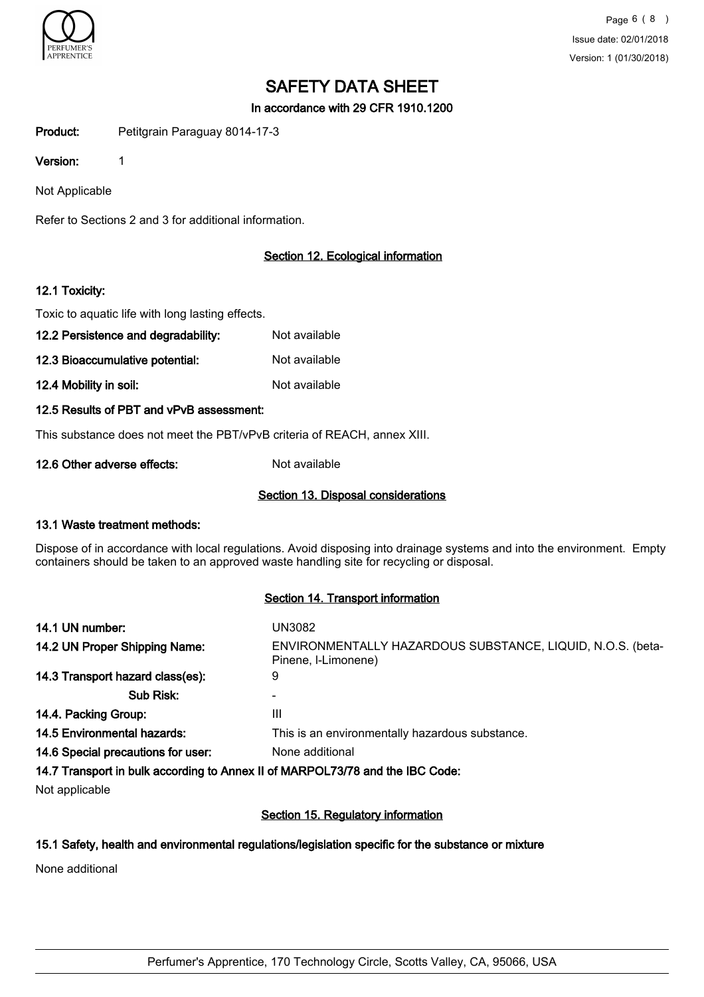

In accordance with 29 CFR 1910.1200

Product: Petitgrain Paraguay 8014-17-3

Version: 1

Not Applicable

Refer to Sections 2 and 3 for additional information.

# Section 12. Ecological information

## 12.1 Toxicity:

Toxic to aquatic life with long lasting effects.

- 12.2 Persistence and degradability: Not available
- 12.3 Bioaccumulative potential: Not available
- 12.4 Mobility in soil: Not available
- 12.5 Results of PBT and vPvB assessment:

This substance does not meet the PBT/vPvB criteria of REACH, annex XIII.

12.6 Other adverse effects: Not available

# Section 13. Disposal considerations

# 13.1 Waste treatment methods:

Dispose of in accordance with local regulations. Avoid disposing into drainage systems and into the environment. Empty containers should be taken to an approved waste handling site for recycling or disposal.

#### Section 14. Transport information

| 14.1 UN number:                    | UN3082                                                                            |
|------------------------------------|-----------------------------------------------------------------------------------|
| 14.2 UN Proper Shipping Name:      | ENVIRONMENTALLY HAZARDOUS SUBSTANCE, LIQUID, N.O.S. (beta-<br>Pinene, I-Limonene) |
| 14.3 Transport hazard class(es):   | 9                                                                                 |
| Sub Risk:                          |                                                                                   |
| 14.4. Packing Group:               | Ш                                                                                 |
| 14.5 Environmental hazards:        | This is an environmentally hazardous substance.                                   |
| 14.6 Special precautions for user: | None additional                                                                   |
|                                    | 14.7 Transport in bulk according to Annex II of MARPOL73/78 and the IBC Code:     |
| Not applicable                     |                                                                                   |
|                                    |                                                                                   |

#### Section 15. Regulatory information

# 15.1 Safety, health and environmental regulations/legislation specific for the substance or mixture

None additional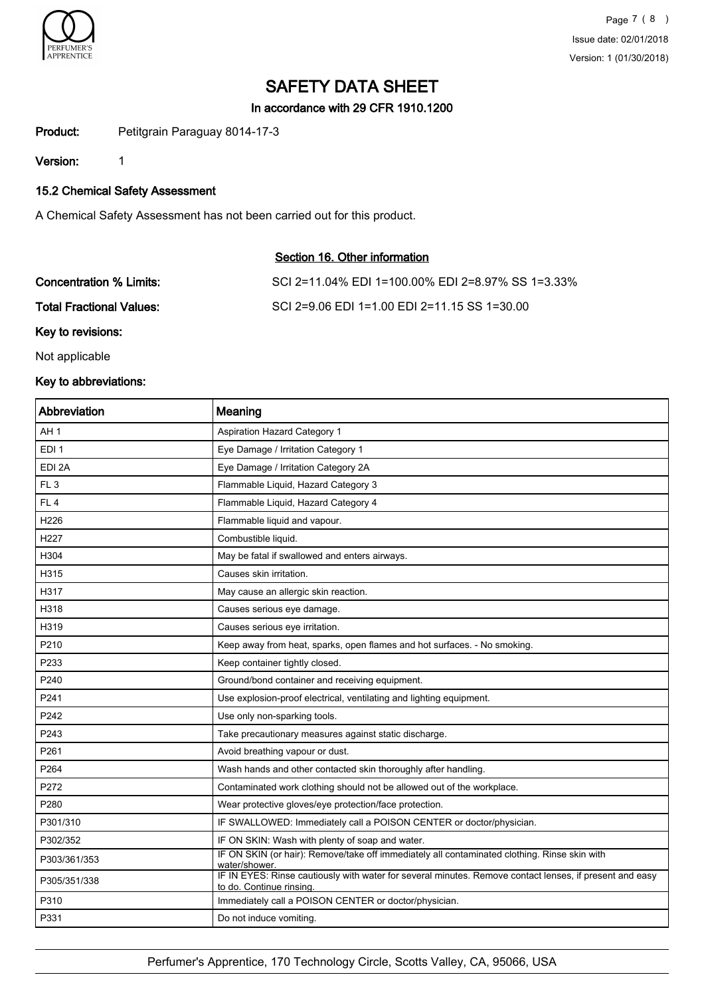

In accordance with 29 CFR 1910.1200

Product: Petitgrain Paraguay 8014-17-3

Version: 1

15.2 Chemical Safety Assessment

A Chemical Safety Assessment has not been carried out for this product.

# Section 16. Other information

| Concentration % Limits:  | SCI 2=11.04% EDI 1=100.00% EDI 2=8.97% SS 1=3.33% |
|--------------------------|---------------------------------------------------|
| Total Fractional Values: | SCI 2=9.06 EDI 1=1.00 EDI 2=11.15 SS 1=30.00      |

Key to revisions:

Not applicable

# Key to abbreviations:

| Abbreviation     | Meaning                                                                                                                             |
|------------------|-------------------------------------------------------------------------------------------------------------------------------------|
| AH <sub>1</sub>  | <b>Aspiration Hazard Category 1</b>                                                                                                 |
| EDI <sub>1</sub> | Eye Damage / Irritation Category 1                                                                                                  |
| EDI 2A           | Eye Damage / Irritation Category 2A                                                                                                 |
| FL <sub>3</sub>  | Flammable Liquid, Hazard Category 3                                                                                                 |
| FL <sub>4</sub>  | Flammable Liquid, Hazard Category 4                                                                                                 |
| H <sub>226</sub> | Flammable liquid and vapour.                                                                                                        |
| H <sub>227</sub> | Combustible liquid.                                                                                                                 |
| H304             | May be fatal if swallowed and enters airways.                                                                                       |
| H315             | Causes skin irritation.                                                                                                             |
| H317             | May cause an allergic skin reaction.                                                                                                |
| H318             | Causes serious eye damage.                                                                                                          |
| H319             | Causes serious eye irritation.                                                                                                      |
| P210             | Keep away from heat, sparks, open flames and hot surfaces. - No smoking.                                                            |
| P233             | Keep container tightly closed.                                                                                                      |
| P240             | Ground/bond container and receiving equipment.                                                                                      |
| P241             | Use explosion-proof electrical, ventilating and lighting equipment.                                                                 |
| P242             | Use only non-sparking tools.                                                                                                        |
| P243             | Take precautionary measures against static discharge.                                                                               |
| P261             | Avoid breathing vapour or dust.                                                                                                     |
| P264             | Wash hands and other contacted skin thoroughly after handling.                                                                      |
| P272             | Contaminated work clothing should not be allowed out of the workplace.                                                              |
| P280             | Wear protective gloves/eye protection/face protection.                                                                              |
| P301/310         | IF SWALLOWED: Immediately call a POISON CENTER or doctor/physician.                                                                 |
| P302/352         | IF ON SKIN: Wash with plenty of soap and water.                                                                                     |
| P303/361/353     | IF ON SKIN (or hair): Remove/take off immediately all contaminated clothing. Rinse skin with<br>water/shower.                       |
| P305/351/338     | IF IN EYES: Rinse cautiously with water for several minutes. Remove contact lenses, if present and easy<br>to do. Continue rinsing. |
| P310             | Immediately call a POISON CENTER or doctor/physician.                                                                               |
| P331             | Do not induce vomiting.                                                                                                             |